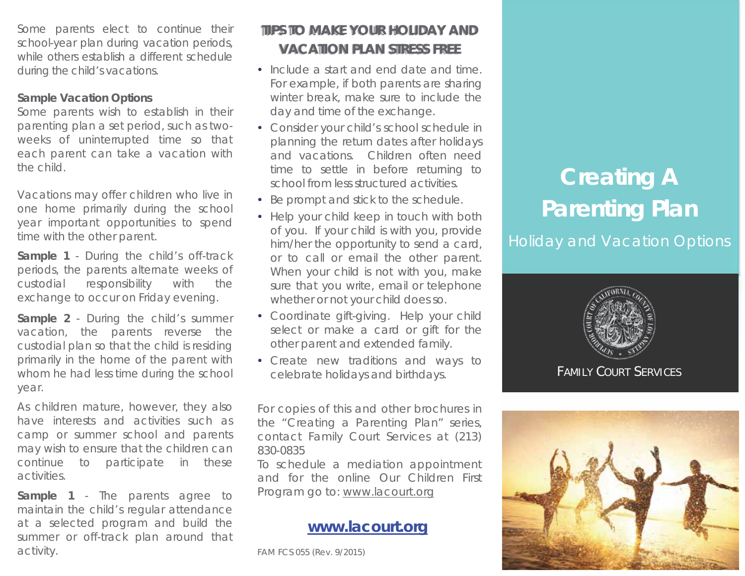Some parents elect to continue their school-year plan during vacation periods, while others establish a different schedule during the child's vacations.

#### **Sample Vacation Options**

Some parents wish to establish in their parenting plan a set period, such as twoweeks of uninterrupted time so that each parent can take a vacation with the child.

Vacations may offer children who live in one home primarily during the school year important opportunities to spend time with the other parent.

**Sample 1** - During the child's off-track periods, the parents alternate weeks of custodial responsibility with the exchange to occur on Friday evening.

**Sample 2** - During the child's summer vacation, the parents reverse the custodial plan so that the child is residing primarily in the home of the parent with whom he had less time during the school year.

As children mature, however, they also have interests and activities such as camp or summer school and parents may wish to ensure that the children can continue to participate in these activities.

**Sample 1** - The parents agree to maintain the child's regular attendance at a selected program and build the summer or off-track plan around that activity.

# **TIPS TO MAKE YOUR HOLIDAY AND VACATION PLAN STRESS FREE**

- Include a start and end date and time. For example, if both parents are sharing winter break, make sure to include the day and time of the exchange.
- Consider your child's school schedule in planning the return dates after holidays and vacations. Children often need time to settle in before returning to school from less structured activities.
- Be prompt and stick to the schedule.
- Help your child keep in touch with both of you. If your child is with you, provide him/her the opportunity to send a card, or to call or email the other parent. When your child is not with you, make sure that you write, email or telephone whether or not your child does so.
- Coordinate gift-giving. Help your child select or make a card or gift for the other parent and extended family.
- Create new traditions and ways to celebrate holidays and birthdays.

For copies of this and other brochures in the "Creating a Parenting Plan" series, contact Family Court Services at (213) 830-0835

To schedule a mediation appointment and for the online Our Children First Program go to: www.lacourt.org

## **www.lacourt.org**

FAM FCS 055 (Rev. 9/2015)

# **Creating A Parenting Plan**

Holiday and Vacation Options



FAMILY COURT SERVICES